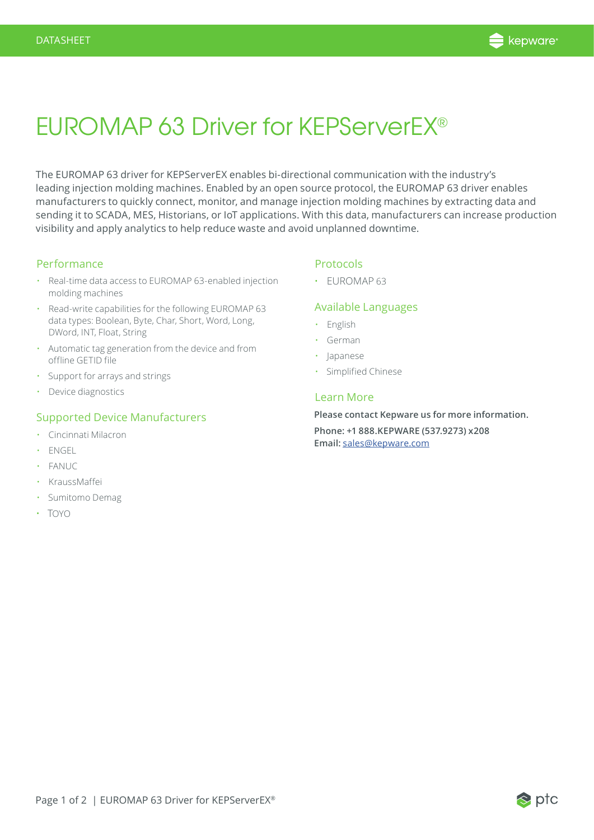

## EUROMAP 63 Driver for KEPServerEX®

The EUROMAP 63 driver for KEPServerEX enables bi-directional communication with the industry's leading injection molding machines. Enabled by an open source protocol, the EUROMAP 63 driver enables manufacturers to quickly connect, monitor, and manage injection molding machines by extracting data and sending it to SCADA, MES, Historians, or IoT applications. With this data, manufacturers can increase production visibility and apply analytics to help reduce waste and avoid unplanned downtime.

### Performance

- Real-time data access to EUROMAP 63-enabled injection molding machines
- Read-write capabilities for the following EUROMAP 63 data types: Boolean, Byte, Char, Short, Word, Long, DWord, INT, Float, String
- Automatic tag generation from the device and from offline GETID file
- Support for arrays and strings
- Device diagnostics

#### Supported Device Manufacturers

- Cincinnati Milacron
- ENGEL
- FANUC
- KraussMaffei
- Sumitomo Demag
- TOYO

## Protocols

• EUROMAP 63

#### Available Languages

- English
- German
- Japanese
- Simplified Chinese

### Learn More

**Please contact Kepware us for more information.** 

**Phone: +1 888.KEPWARE (537.9273) x208 Email:** sales@kepware.com